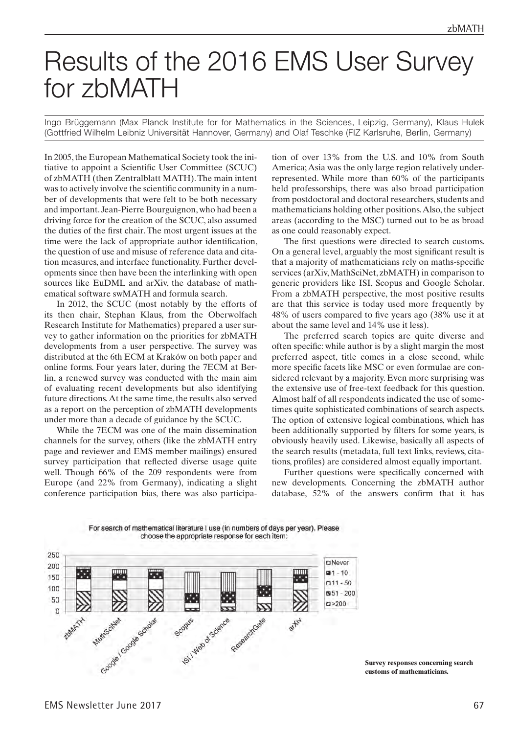## Results of the 2016 EMS User Survey for zbMATH

Ingo Brüggemann (Max Planck Institute for for Mathematics in the Sciences, Leipzig, Germany), Klaus Hulek (Gottfried Wilhelm Leibniz Universität Hannover, Germany) and Olaf Teschke (FIZ Karlsruhe, Berlin, Germany)

In 2005, the European Mathematical Society took the initiative to appoint a Scientific User Committee (SCUC) of zbMATH (then Zentralblatt MATH). The main intent was to actively involve the scientific community in a number of developments that were felt to be both necessary and important. Jean-Pierre Bourguignon, who had been a driving force for the creation of the SCUC, also assumed the duties of the first chair. The most urgent issues at the time were the lack of appropriate author identification, the question of use and misuse of reference data and citation measures, and interface functionality. Further developments since then have been the interlinking with open sources like EuDML and arXiv, the database of mathematical software swMATH and formula search.

In 2012, the SCUC (most notably by the efforts of its then chair, Stephan Klaus, from the Oberwolfach Research Institute for Mathematics) prepared a user survey to gather information on the priorities for zbMATH developments from a user perspective. The survey was distributed at the 6th ECM at Kraków on both paper and online forms. Four years later, during the 7ECM at Berlin, a renewed survey was conducted with the main aim of evaluating recent developments but also identifying future directions. At the same time, the results also served as a report on the perception of zbMATH developments under more than a decade of guidance by the SCUC.

While the 7ECM was one of the main dissemination channels for the survey, others (like the zbMATH entry page and reviewer and EMS member mailings) ensured survey participation that reflected diverse usage quite well. Though 66% of the 209 respondents were from Europe (and 22% from Germany), indicating a slight conference participation bias, there was also participation of over 13% from the U.S. and 10% from South America; Asia was the only large region relatively underrepresented. While more than 60% of the participants held professorships, there was also broad participation from postdoctoral and doctoral researchers, students and mathematicians holding other positions. Also, the subject areas (according to the MSC) turned out to be as broad as one could reasonably expect.

The first questions were directed to search customs. On a general level, arguably the most significant result is that a majority of mathematicians rely on maths-specific services (arXiv, MathSciNet, zbMATH) in comparison to generic providers like ISI, Scopus and Google Scholar. From a zbMATH perspective, the most positive results are that this service is today used more frequently by 48% of users compared to five years ago (38% use it at about the same level and 14% use it less).

The preferred search topics are quite diverse and often specific: while author is by a slight margin the most preferred aspect, title comes in a close second, while more specific facets like MSC or even formulae are considered relevant by a majority. Even more surprising was the extensive use of free-text feedback for this question. Almost half of all respondents indicated the use of sometimes quite sophisticated combinations of search aspects. The option of extensive logical combinations, which has been additionally supported by filters for some years, is obviously heavily used. Likewise, basically all aspects of the search results (metadata, full text links, reviews, citations, profiles) are considered almost equally important.

Further questions were specifically concerned with new developments. Concerning the zbMATH author database, 52% of the answers confirm that it has



**Survey responses concerning search customs of mathematicians.**